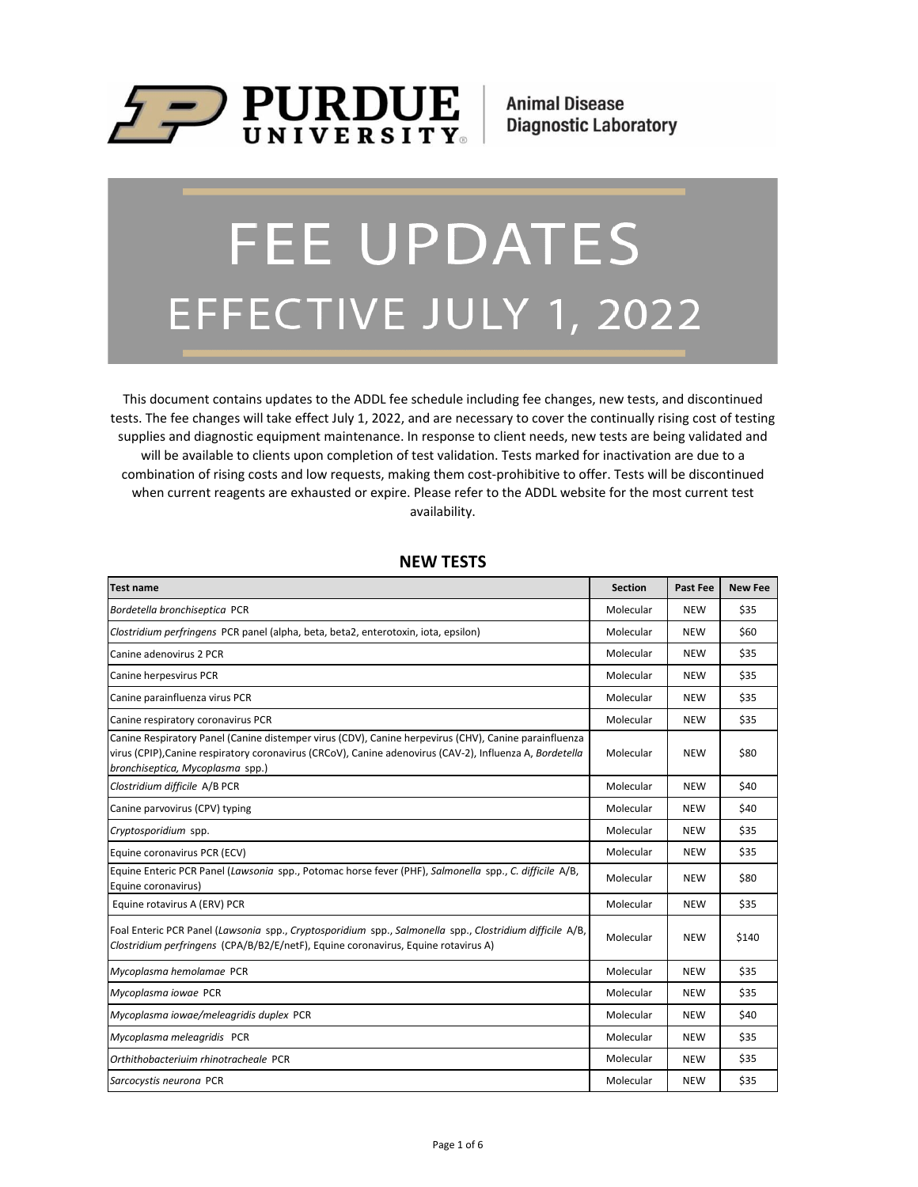

**Animal Disease Diagnostic Laboratory** 

# **FEE UPDATES** EFFECTIVE JULY 1, 2022

This document contains updates to the ADDL fee schedule including fee changes, new tests, and discontinued tests. The fee changes will take effect July 1, 2022, and are necessary to cover the continually rising cost of testing supplies and diagnostic equipment maintenance. In response to client needs, new tests are being validated and will be available to clients upon completion of test validation. Tests marked for inactivation are due to a combination of rising costs and low requests, making them cost-prohibitive to offer. Tests will be discontinued when current reagents are exhausted or expire. Please refer to the ADDL website for the most current test availability.

| <b>Test name</b>                                                                                                                                                                                                                                      | <b>Section</b> | Past Fee   | <b>New Fee</b> |
|-------------------------------------------------------------------------------------------------------------------------------------------------------------------------------------------------------------------------------------------------------|----------------|------------|----------------|
| Bordetella bronchiseptica PCR                                                                                                                                                                                                                         | Molecular      | <b>NEW</b> | \$35           |
| Clostridium perfringens PCR panel (alpha, beta, beta2, enterotoxin, iota, epsilon)                                                                                                                                                                    | Molecular      | <b>NEW</b> | \$60           |
| Canine adenovirus 2 PCR                                                                                                                                                                                                                               | Molecular      | <b>NEW</b> | \$35           |
| Canine herpesvirus PCR                                                                                                                                                                                                                                | Molecular      | <b>NEW</b> | \$35           |
| Canine parainfluenza virus PCR                                                                                                                                                                                                                        | Molecular      | <b>NEW</b> | \$35           |
| Canine respiratory coronavirus PCR                                                                                                                                                                                                                    | Molecular      | <b>NEW</b> | \$35           |
| Canine Respiratory Panel (Canine distemper virus (CDV), Canine herpevirus (CHV), Canine parainfluenza<br>virus (CPIP), Canine respiratory coronavirus (CRCoV), Canine adenovirus (CAV-2), Influenza A, Bordetella<br>bronchiseptica, Mycoplasma spp.) | Molecular      | NEW        | \$80           |
| Clostridium difficile A/B PCR                                                                                                                                                                                                                         | Molecular      | <b>NEW</b> | \$40           |
| Canine parvovirus (CPV) typing                                                                                                                                                                                                                        | Molecular      | <b>NEW</b> | \$40           |
| Cryptosporidium spp.                                                                                                                                                                                                                                  | Molecular      | <b>NEW</b> | \$35           |
| Equine coronavirus PCR (ECV)                                                                                                                                                                                                                          | Molecular      | <b>NEW</b> | \$35           |
| Equine Enteric PCR Panel (Lawsonia spp., Potomac horse fever (PHF), Salmonella spp., C. difficile A/B,<br>Equine coronavirus)                                                                                                                         | Molecular      | <b>NEW</b> | \$80           |
| Equine rotavirus A (ERV) PCR                                                                                                                                                                                                                          | Molecular      | <b>NEW</b> | \$35           |
| Foal Enteric PCR Panel (Lawsonia spp., Cryptosporidium spp., Salmonella spp., Clostridium difficile A/B,<br>Clostridium perfringens (CPA/B/B2/E/netF), Equine coronavirus, Equine rotavirus A)                                                        | Molecular      | NEW        | \$140          |
| Mycoplasma hemolamae PCR                                                                                                                                                                                                                              | Molecular      | <b>NEW</b> | \$35           |
| Mycoplasma iowae PCR                                                                                                                                                                                                                                  | Molecular      | <b>NEW</b> | \$35           |
| Mycoplasma iowae/meleagridis duplex PCR                                                                                                                                                                                                               | Molecular      | <b>NEW</b> | \$40           |
| Mycoplasma meleagridis PCR                                                                                                                                                                                                                            | Molecular      | <b>NEW</b> | \$35           |
| Orthithobacteriuim rhinotracheale PCR                                                                                                                                                                                                                 | Molecular      | <b>NEW</b> | \$35           |
| Sarcocystis neurona PCR                                                                                                                                                                                                                               | Molecular      | <b>NEW</b> | \$35           |

#### **NEW TESTS**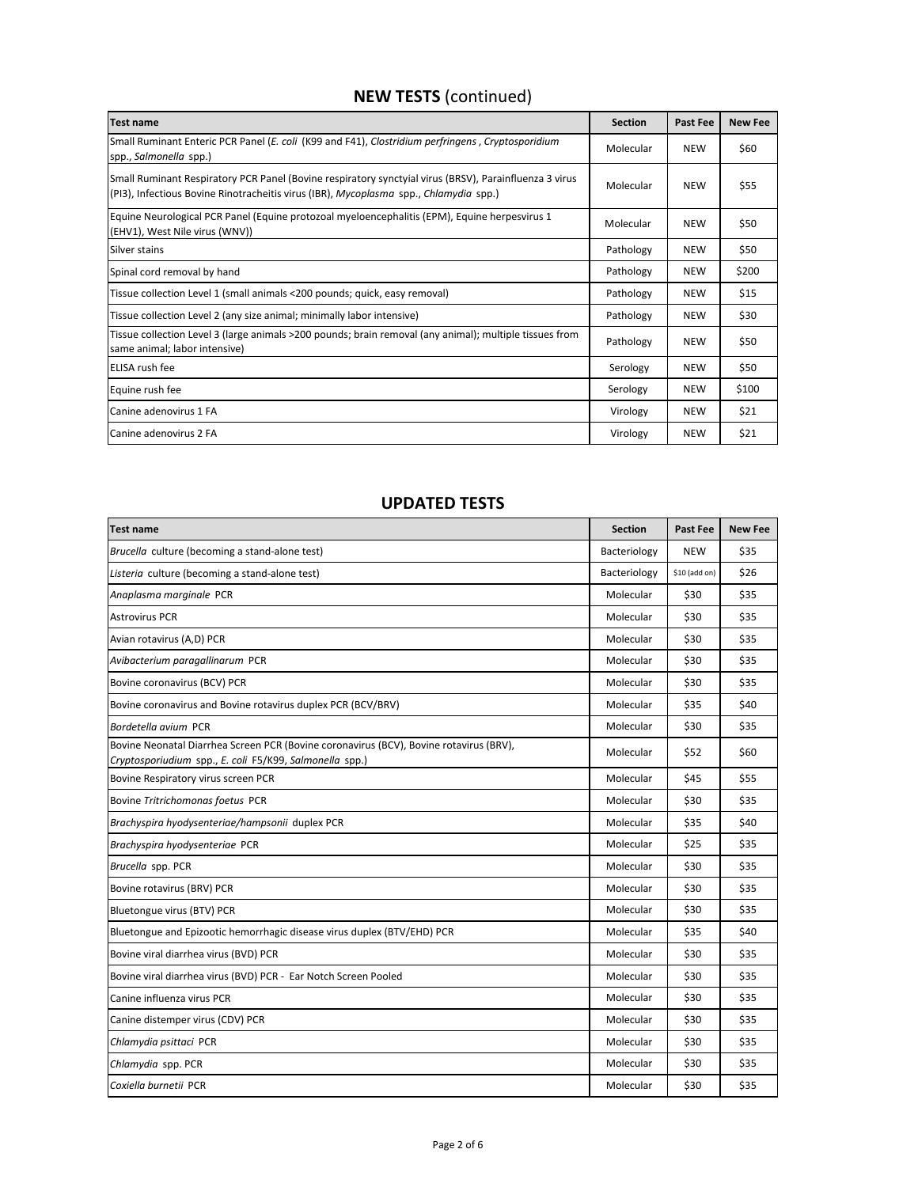# **NEW TESTS** (continued)

| <b>Test name</b>                                                                                                                                                                                | <b>Section</b> | <b>Past Fee</b> | <b>New Fee</b> |
|-------------------------------------------------------------------------------------------------------------------------------------------------------------------------------------------------|----------------|-----------------|----------------|
| Small Ruminant Enteric PCR Panel (E. coli (K99 and F41), Clostridium perfringens, Cryptosporidium<br>spp., Salmonella spp.)                                                                     | Molecular      | <b>NEW</b>      | \$60           |
| Small Ruminant Respiratory PCR Panel (Bovine respiratory synctyial virus (BRSV), Parainfluenza 3 virus<br>(PI3), Infectious Bovine Rinotracheitis virus (IBR), Mycoplasma spp., Chlamydia spp.) | Molecular      | <b>NEW</b>      | \$55           |
| Equine Neurological PCR Panel (Equine protozoal myeloencephalitis (EPM), Equine herpesvirus 1<br>(EHV1), West Nile virus (WNV))                                                                 | Molecular      | <b>NEW</b>      | \$50           |
| Silver stains                                                                                                                                                                                   | Pathology      | <b>NEW</b>      | \$50           |
| Spinal cord removal by hand                                                                                                                                                                     | Pathology      | <b>NEW</b>      | \$200          |
| Tissue collection Level 1 (small animals <200 pounds; quick, easy removal)                                                                                                                      | Pathology      | <b>NEW</b>      | \$15           |
| Tissue collection Level 2 (any size animal; minimally labor intensive)                                                                                                                          | Pathology      | <b>NEW</b>      | \$30           |
| Tissue collection Level 3 (large animals >200 pounds; brain removal (any animal); multiple tissues from<br>same animal; labor intensive)                                                        | Pathology      | <b>NEW</b>      | \$50           |
| ELISA rush fee                                                                                                                                                                                  | Serology       | <b>NEW</b>      | \$50           |
| Equine rush fee                                                                                                                                                                                 | Serology       | <b>NEW</b>      | \$100          |
| Canine adenovirus 1 FA                                                                                                                                                                          | Virology       | <b>NEW</b>      | \$21           |
| Canine adenovirus 2 FA                                                                                                                                                                          | Virology       | <b>NEW</b>      | \$21           |

## **UPDATED TESTS**

| Test name                                                                                                                                         | <b>Section</b> | Past Fee      | <b>New Fee</b> |
|---------------------------------------------------------------------------------------------------------------------------------------------------|----------------|---------------|----------------|
| Brucella culture (becoming a stand-alone test)                                                                                                    | Bacteriology   | <b>NEW</b>    | \$35           |
| Listeria culture (becoming a stand-alone test)                                                                                                    | Bacteriology   | \$10 (add on) | \$26           |
| Anaplasma marginale PCR                                                                                                                           | Molecular      | \$30          | \$35           |
| <b>Astrovirus PCR</b>                                                                                                                             | Molecular      | \$30          | \$35           |
| Avian rotavirus (A,D) PCR                                                                                                                         | Molecular      | \$30          | \$35           |
| Avibacterium paragallinarum PCR                                                                                                                   | Molecular      | \$30          | \$35           |
| Bovine coronavirus (BCV) PCR                                                                                                                      | Molecular      | \$30          | \$35           |
| Bovine coronavirus and Bovine rotavirus duplex PCR (BCV/BRV)                                                                                      | Molecular      | \$35          | \$40           |
| Bordetella avium PCR                                                                                                                              | Molecular      | \$30          | \$35           |
| Bovine Neonatal Diarrhea Screen PCR (Bovine coronavirus (BCV), Bovine rotavirus (BRV),<br>Cryptosporiudium spp., E. coli F5/K99, Salmonella spp.) | Molecular      | \$52          | \$60           |
| Bovine Respiratory virus screen PCR                                                                                                               | Molecular      | \$45          | \$55           |
| Bovine Tritrichomonas foetus PCR                                                                                                                  | Molecular      | \$30          | \$35           |
| Brachyspira hyodysenteriae/hampsonii duplex PCR                                                                                                   | Molecular      | \$35          | \$40           |
| Brachyspira hyodysenteriae PCR                                                                                                                    | Molecular      | \$25          | \$35           |
| Brucella spp. PCR                                                                                                                                 | Molecular      | \$30          | \$35           |
| Bovine rotavirus (BRV) PCR                                                                                                                        | Molecular      | \$30          | \$35           |
| Bluetongue virus (BTV) PCR                                                                                                                        | Molecular      | \$30          | \$35           |
| Bluetongue and Epizootic hemorrhagic disease virus duplex (BTV/EHD) PCR                                                                           | Molecular      | \$35          | \$40           |
| Bovine viral diarrhea virus (BVD) PCR                                                                                                             | Molecular      | \$30          | \$35           |
| Bovine viral diarrhea virus (BVD) PCR - Ear Notch Screen Pooled                                                                                   | Molecular      | \$30          | \$35           |
| Canine influenza virus PCR                                                                                                                        | Molecular      | \$30          | \$35           |
| Canine distemper virus (CDV) PCR                                                                                                                  | Molecular      | \$30          | \$35           |
| Chlamydia psittaci PCR                                                                                                                            | Molecular      | \$30          | \$35           |
| Chlamydia spp. PCR                                                                                                                                | Molecular      | \$30          | \$35           |
| Coxiella burnetii PCR                                                                                                                             | Molecular      | \$30          | \$35           |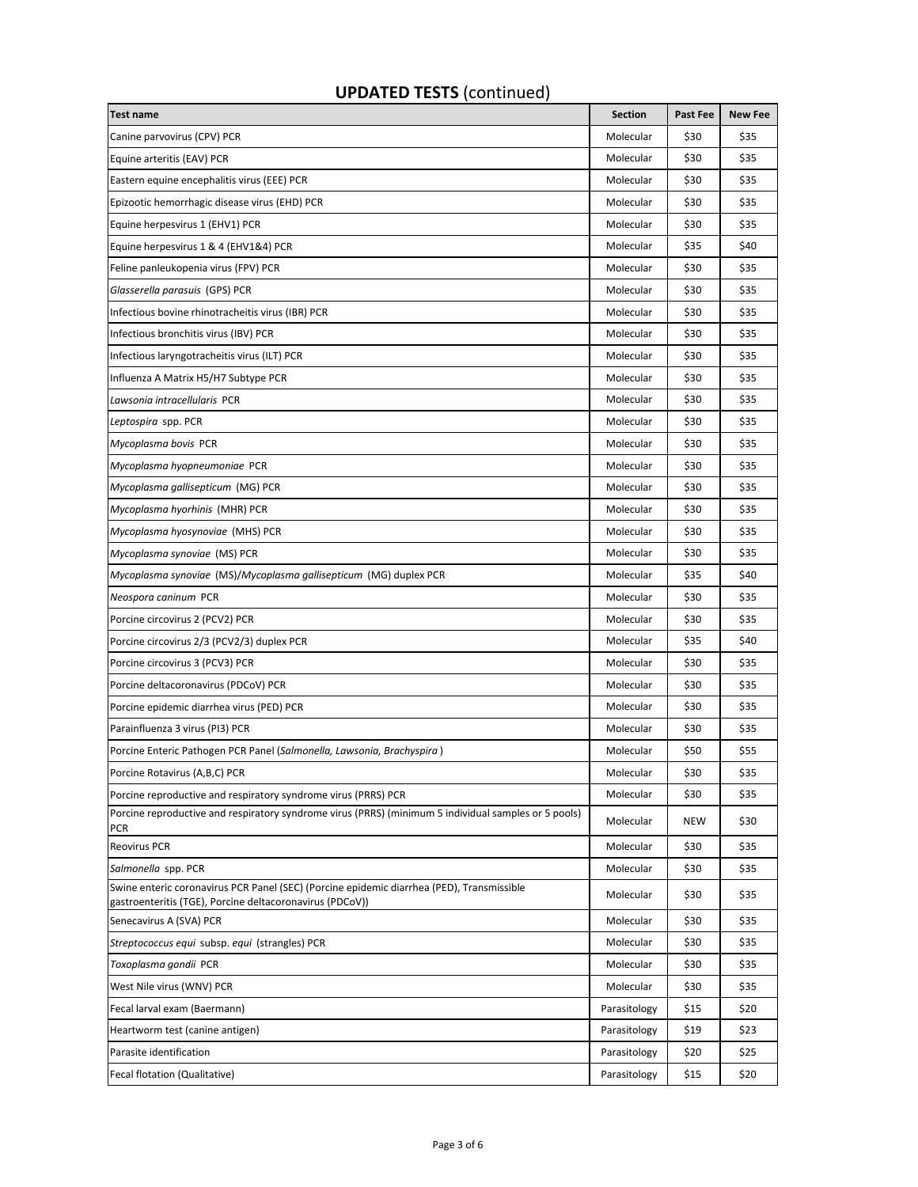## **UPDATED TESTS** (continued)

| <b>Test name</b>                                                                                                                                      | <b>Section</b> | Past Fee | <b>New Fee</b> |
|-------------------------------------------------------------------------------------------------------------------------------------------------------|----------------|----------|----------------|
| Canine parvovirus (CPV) PCR                                                                                                                           | Molecular      | \$30     | \$35           |
| Equine arteritis (EAV) PCR                                                                                                                            | Molecular      | \$30     | \$35           |
| Eastern equine encephalitis virus (EEE) PCR                                                                                                           | Molecular      | \$30     | \$35           |
| Epizootic hemorrhagic disease virus (EHD) PCR                                                                                                         | Molecular      | \$30     | \$35           |
| Equine herpesvirus 1 (EHV1) PCR                                                                                                                       | Molecular      | \$30     | \$35           |
| Equine herpesvirus 1 & 4 (EHV1&4) PCR                                                                                                                 | Molecular      | \$35     | \$40           |
| Feline panleukopenia virus (FPV) PCR                                                                                                                  | Molecular      | \$30     | \$35           |
| Glasserella parasuis (GPS) PCR                                                                                                                        | Molecular      | \$30     | \$35           |
| Infectious bovine rhinotracheitis virus (IBR) PCR                                                                                                     | Molecular      | \$30     | \$35           |
| Infectious bronchitis virus (IBV) PCR                                                                                                                 | Molecular      | \$30     | \$35           |
| Infectious laryngotracheitis virus (ILT) PCR                                                                                                          | Molecular      | \$30     | \$35           |
| Influenza A Matrix H5/H7 Subtype PCR                                                                                                                  | Molecular      | \$30     | \$35           |
| Lawsonia intracellularis PCR                                                                                                                          | Molecular      | \$30     | \$35           |
| Leptospira spp. PCR                                                                                                                                   | Molecular      | \$30     | \$35           |
| Mycoplasma bovis PCR                                                                                                                                  | Molecular      | \$30     | \$35           |
| Mycoplasma hyopneumoniae PCR                                                                                                                          | Molecular      | \$30     | \$35           |
| Mycoplasma gallisepticum (MG) PCR                                                                                                                     | Molecular      | \$30     | \$35           |
| Mycoplasma hyorhinis (MHR) PCR                                                                                                                        | Molecular      | \$30     | \$35           |
| Mycoplasma hyosynoviae (MHS) PCR                                                                                                                      | Molecular      | \$30     | \$35           |
| Mycoplasma synoviae (MS) PCR                                                                                                                          | Molecular      | \$30     | \$35           |
| Mycoplasma synoviae (MS)/Mycoplasma gallisepticum (MG) duplex PCR                                                                                     | Molecular      | \$35     | \$40           |
| Neospora caninum PCR                                                                                                                                  | Molecular      | \$30     | \$35           |
| Porcine circovirus 2 (PCV2) PCR                                                                                                                       | Molecular      | \$30     | \$35           |
| Porcine circovirus 2/3 (PCV2/3) duplex PCR                                                                                                            | Molecular      | \$35     | \$40           |
| Porcine circovirus 3 (PCV3) PCR                                                                                                                       | Molecular      | \$30     | \$35           |
| Porcine deltacoronavirus (PDCoV) PCR                                                                                                                  | Molecular      | \$30     | \$35           |
| Porcine epidemic diarrhea virus (PED) PCR                                                                                                             | Molecular      | \$30     | \$35           |
| Parainfluenza 3 virus (PI3) PCR                                                                                                                       | Molecular      | \$30     | \$35           |
| Porcine Enteric Pathogen PCR Panel (Salmonella, Lawsonia, Brachyspira)                                                                                | Molecular      | \$50     | \$55           |
| Porcine Rotavirus (A,B,C) PCR                                                                                                                         | Molecular      | \$30     | \$35           |
| Porcine reproductive and respiratory syndrome virus (PRRS) PCR                                                                                        | Molecular      | \$30     | \$35           |
| Porcine reproductive and respiratory syndrome virus (PRRS) (minimum 5 individual samples or 5 pools)<br><b>PCR</b>                                    | Molecular      | NEW      | \$30           |
| Reovirus PCR                                                                                                                                          | Molecular      | \$30     | \$35           |
| Salmonella spp. PCR                                                                                                                                   | Molecular      | \$30     | \$35           |
| Swine enteric coronavirus PCR Panel (SEC) (Porcine epidemic diarrhea (PED), Transmissible<br>gastroenteritis (TGE), Porcine deltacoronavirus (PDCoV)) | Molecular      | \$30     | \$35           |
| Senecavirus A (SVA) PCR                                                                                                                               | Molecular      | \$30     | \$35           |
| Streptococcus equi subsp. equi (strangles) PCR                                                                                                        | Molecular      | \$30     | \$35           |
| Toxoplasma gondii PCR                                                                                                                                 | Molecular      | \$30     | \$35           |
| West Nile virus (WNV) PCR                                                                                                                             | Molecular      | \$30     | \$35           |
| Fecal larval exam (Baermann)                                                                                                                          | Parasitology   | \$15     | \$20           |
| Heartworm test (canine antigen)                                                                                                                       | Parasitology   | \$19     | \$23           |
| Parasite identification                                                                                                                               | Parasitology   | \$20     | \$25           |
| Fecal flotation (Qualitative)                                                                                                                         | Parasitology   | \$15     | \$20           |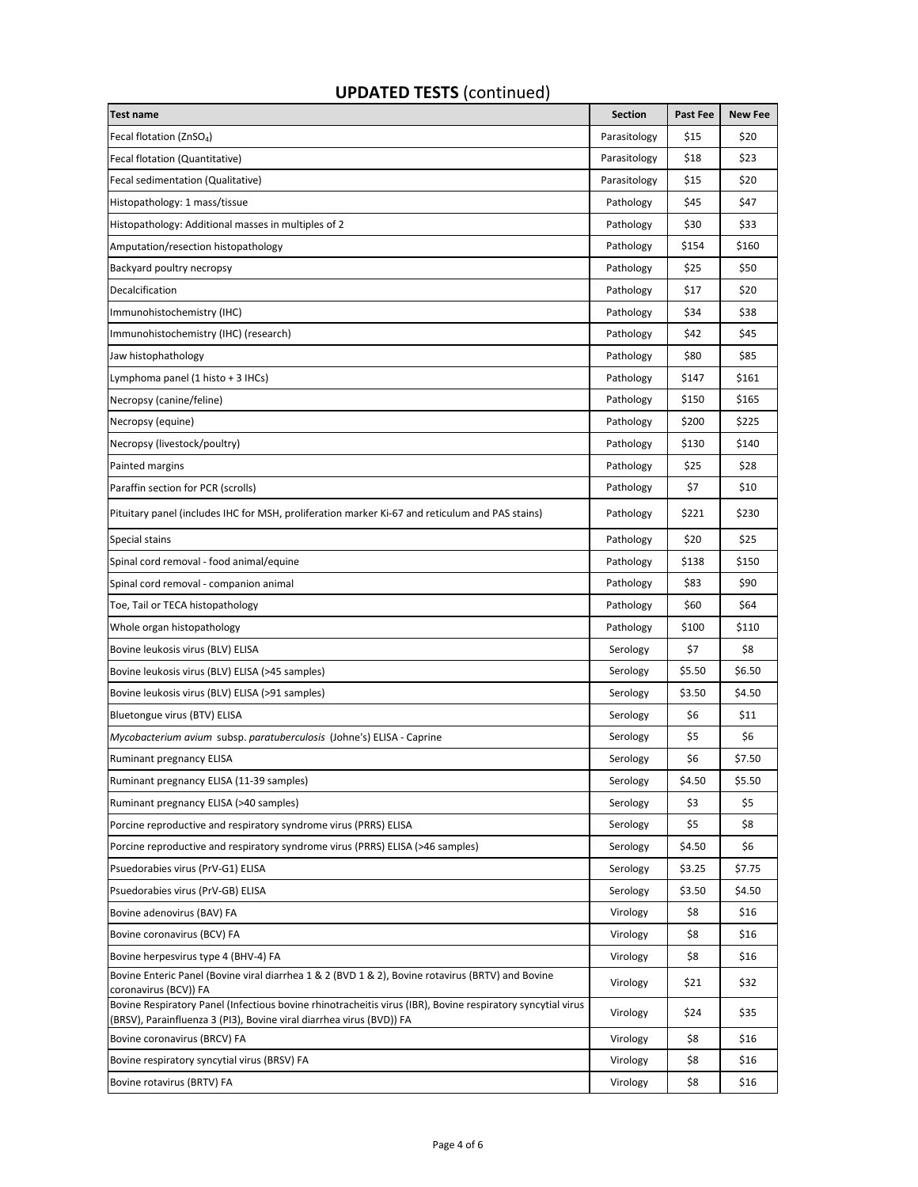# **Test name Section Past Fee New Fee**  Fecal flotation (ZnSO4) Parasitology \$15 \$20 Fecal flotation (Quantitative) 623 (1993) Parasitology 318 (1994) States Secal flotation (Quantitative) 523 (1994) States Secal flotation (Quantitative) 633 (1995) States Secal flotation (Quantitative) 523 (1996) States Se Fecal sedimentation (Qualitative) **Parasitology 15 \$20** \$15 \$20 Histopathology: 1 mass/tissue Pathology \$45 \$47 Histopathology: Additional masses in multiples of 2 Pathology \$30 \$33 \$33 Amputation/resection histopathology **Pathology** Pathology 3154 \$160 Backyard poultry necropsy **Pathology 325 \$50** \$50 Decalcification **Pathology | \$17 \$20**  $\blacksquare$  \$20  $\blacksquare$  \$20  $\blacksquare$  \$20  $\blacksquare$  \$20  $\blacksquare$  \$20  $\blacksquare$  \$20  $\blacksquare$  \$20  $\blacksquare$  \$20  $\blacksquare$  \$20  $\blacksquare$  \$20  $\blacksquare$  \$20  $\blacksquare$  \$20  $\blacksquare$  \$20  $\blacksquare$  \$20  $\blacksquare$  \$20  $\blacksquare$  \$20  $\blacksquare$  \$ Immunohistochemistry (IHC) and the control of the control of the control of the control of the control of the control of the control of the control of the control of the control of the control of the control of the control Immunohistochemistry (IHC) (research) and the control of the control of the control of the control of the control of the control of the control of the control of the control of the control of the control of the control of Jaw histophathology Pathology \$80 \$85 Lymphoma panel (1 histo + 3 IHCs) **Pathology \$147** \$161 Necropsy (canine/feline) Pathology \$150 \$165 Necropsy (equine) 2225 (equine) Pathology 3225 (equine) 2225 Necropsy (livestock/poultry) and the set of the set of the set of the set of the set of the set of the set of the set of the set of the set of the set of the set of the set of the set of the set of the set of the set of th Painted margins Pathology \$25 \$28 Paraffin section for PCR (scrolls) **Paraffinity** Pathology  $\begin{bmatrix} 57 & 510 \\ 210 & 210 \end{bmatrix}$ Pituitary panel (includes IHC for MSH, proliferation marker Ki-67 and reticulum and PAS stains) Pathology \$221 \$230 Special stains Pathology \$20 \$25 Spinal cord removal - food animal/equine Pathology | \$130 \$150 Spinal cord removal - companion animal **Accord Pathology 383** \$90 \$90 Toe, Tail or TECA histopathology Pathology Pathology Pathology Pathology Asia in the Second Second Second Second Second Second Second Second Second Second Second Second Second Second Second Second Second Second Second Seco Whole organ histopathology **Example 2018** S110 **b**  $\blacksquare$  Pathology **Pathology**  $\blacksquare$  \$110 \$110 Bovine leukosis virus (BLV) ELISA Serology | \$7 | \$8 Bovine leukosis virus (BLV) ELISA (>45 samples) Serology | \$5.50 \$6.50 \$6.50 \$6.50 \$6.50 \$6.50 \$6.50 Bovine leukosis virus (BLV) ELISA (>91 samples) Serology | \$3.50 \$4.50 \$4.50 \$4.50 \$4.50 Bluetongue virus (BTV) ELISA Serology | \$6  $\vert$  \$11 *Mycobacterium avium s*ubsp. *paratuberculosis* (Johne's) ELISA - Caprine Serology | Serology | \$5 | \$6 Ruminant pregnancy ELISA Serology | \$6 \$7.50 Ruminant pregnancy ELISA (11-39 samples) Serology \$4.50 \$5.50 \$5.50 Ruminant pregnancy ELISA (>40 samples) Serology | \$3 | \$5 Porcine reproductive and respiratory syndrome virus (PRRS) ELISA Serology states and the serology states of se Porcine reproductive and respiratory syndrome virus (PRRS) ELISA (>46 samples) Serology \$4.50 \$6 Psuedorabies virus (PrV-G1) ELISA Serology | \$3.25 \$7.75 \$7.75 \$1.75 \$1.75 \$1.75 \$1.75 \$1.75 \$1.75 \$1.75 \$1.75 Psuedorabies virus (PrV-GB) ELISA Serology \$3.50 \$4.50 \$4.50 \$4.50 \$4.50 \$4.50 \$4.50 \$4.50 \$4.50 \$4.50 \$4.50 \$ Bovine adenovirus (BAV) FA **Solution Contract Contract Contract Contract Contract Contract Contract Contract Contract Contract Contract Contract Contract Contract Contract Contract Contract Contract Contract Contract Contr** Bovine coronavirus (BCV) FA Services and the services of the services of the services of the services of the services of the services of the services of the services of the services of the services of the services of the s Bovine herpesvirus type 4 (BHV-4) FA Virology and States of the States of the States of the States of the States of the States of the States of the States of the States of the States of the States of the States of the Stat Bovine Enteric Panel (Bovine viral diarrhea 1 & 2 (BVD 1 & 2), Bovine rotavirus (BRTV) and Bovine Virology (\$21 \$32<br>coronavirus (BCV)) FA Bovine Respiratory Panel (Infectious bovine rhinotracheitis virus (IBR), Bovine respiratory syncytial virus Bovine Respiratory Pariei (infectious bovine rimiotracheitis virus (iBR), Bovine respiratory syncytiai virus<br>(BRSV), Parainfluenza 3 (PI3), Bovine viral diarrhea virus (BVD)) FA Bovine coronavirus (BRCV) FA **Example 20** State of the state of the state of the state of the state of the state of the state of the state of the state of the state of the state of the state of the state of the state of th Bovine respiratory syncytial virus (BRSV) FA Virology | \$8 \$16

#### **UPDATED TESTS** (continued)

Bovine rotavirus (BRTV) FA Services and the services of the services of the services of the services of the services of the services of the services of the services of the services of the services of the services of the se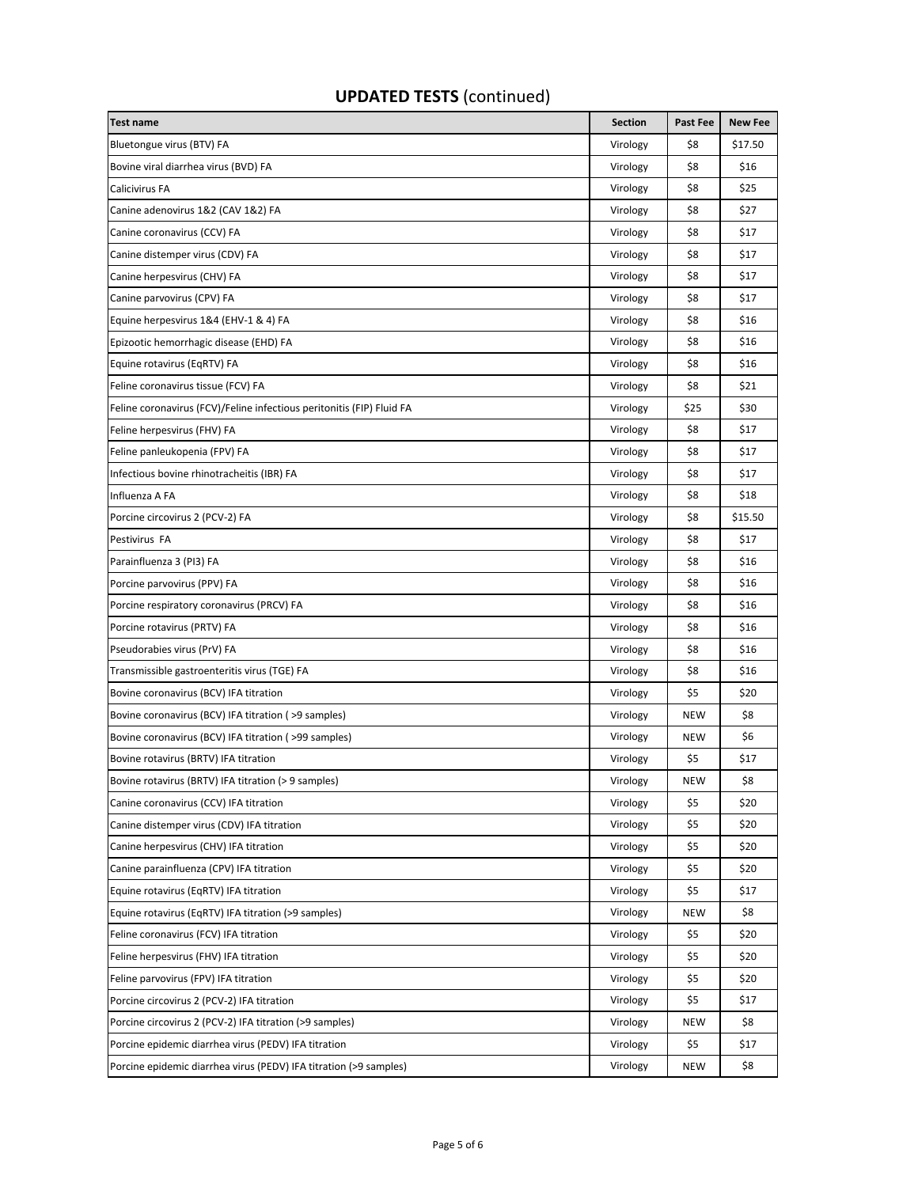| <b>UPDATED TESTS (continued)</b> |  |
|----------------------------------|--|
|----------------------------------|--|

| <b>Test name</b>                                                      | <b>Section</b> | Past Fee   | <b>New Fee</b> |
|-----------------------------------------------------------------------|----------------|------------|----------------|
| Bluetongue virus (BTV) FA                                             | Virology       | \$8        | \$17.50        |
| Bovine viral diarrhea virus (BVD) FA                                  | Virology       | \$8        | \$16           |
| Calicivirus FA                                                        | Virology       | \$8        | \$25           |
| Canine adenovirus 1&2 (CAV 1&2) FA                                    | Virology       | \$8        | \$27           |
| Canine coronavirus (CCV) FA                                           | Virology       | \$8        | \$17           |
| Canine distemper virus (CDV) FA                                       | Virology       | \$8        | \$17           |
| Canine herpesvirus (CHV) FA                                           | Virology       | \$8        | \$17           |
| Canine parvovirus (CPV) FA                                            | Virology       | \$8        | \$17           |
| Equine herpesvirus 1&4 (EHV-1 & 4) FA                                 | Virology       | \$8        | \$16           |
| Epizootic hemorrhagic disease (EHD) FA                                | Virology       | \$8        | \$16           |
| Equine rotavirus (EqRTV) FA                                           | Virology       | \$8        | \$16           |
| Feline coronavirus tissue (FCV) FA                                    | Virology       | \$8        | \$21           |
| Feline coronavirus (FCV)/Feline infectious peritonitis (FIP) Fluid FA | Virology       | \$25       | \$30           |
| Feline herpesvirus (FHV) FA                                           | Virology       | \$8        | \$17           |
| Feline panleukopenia (FPV) FA                                         | Virology       | \$8        | \$17           |
| Infectious bovine rhinotracheitis (IBR) FA                            | Virology       | \$8        | \$17           |
| Influenza A FA                                                        | Virology       | \$8        | \$18           |
| Porcine circovirus 2 (PCV-2) FA                                       | Virology       | \$8        | \$15.50        |
| Pestivirus FA                                                         | Virology       | \$8        | \$17           |
| Parainfluenza 3 (PI3) FA                                              | Virology       | \$8        | \$16           |
| Porcine parvovirus (PPV) FA                                           | Virology       | \$8        | \$16           |
| Porcine respiratory coronavirus (PRCV) FA                             | Virology       | \$8        | \$16           |
| Porcine rotavirus (PRTV) FA                                           | Virology       | \$8        | \$16           |
| Pseudorabies virus (PrV) FA                                           | Virology       | \$8        | \$16           |
| Transmissible gastroenteritis virus (TGE) FA                          | Virology       | \$8        | \$16           |
| Bovine coronavirus (BCV) IFA titration                                | Virology       | \$5        | \$20           |
| Bovine coronavirus (BCV) IFA titration (>9 samples)                   | Virology       | <b>NEW</b> | \$8            |
| Bovine coronavirus (BCV) IFA titration (>99 samples)                  | Virology       | NEW        | \$6            |
| Bovine rotavirus (BRTV) IFA titration                                 | Virology       | \$5        | \$17           |
| Bovine rotavirus (BRTV) IFA titration (> 9 samples)                   | Virology       | <b>NEW</b> | \$8            |
| Canine coronavirus (CCV) IFA titration                                | Virology       | \$5        | \$20           |
| Canine distemper virus (CDV) IFA titration                            | Virology       | \$5        | \$20           |
| Canine herpesvirus (CHV) IFA titration                                | Virology       | \$5        | \$20           |
| Canine parainfluenza (CPV) IFA titration                              | Virology       | \$5        | \$20           |
| Equine rotavirus (EqRTV) IFA titration                                | Virology       | \$5        | \$17           |
| Equine rotavirus (EqRTV) IFA titration (>9 samples)                   | Virology       | <b>NEW</b> | \$8            |
| Feline coronavirus (FCV) IFA titration                                | Virology       | \$5        | \$20           |
| Feline herpesvirus (FHV) IFA titration                                | Virology       | \$5        | \$20           |
| Feline parvovirus (FPV) IFA titration                                 | Virology       | \$5        | \$20           |
| Porcine circovirus 2 (PCV-2) IFA titration                            | Virology       | \$5        | \$17           |
| Porcine circovirus 2 (PCV-2) IFA titration (>9 samples)               | Virology       | NEW        | \$8            |
| Porcine epidemic diarrhea virus (PEDV) IFA titration                  | Virology       | \$5        | \$17           |
| Porcine epidemic diarrhea virus (PEDV) IFA titration (>9 samples)     | Virology       | <b>NEW</b> | \$8            |